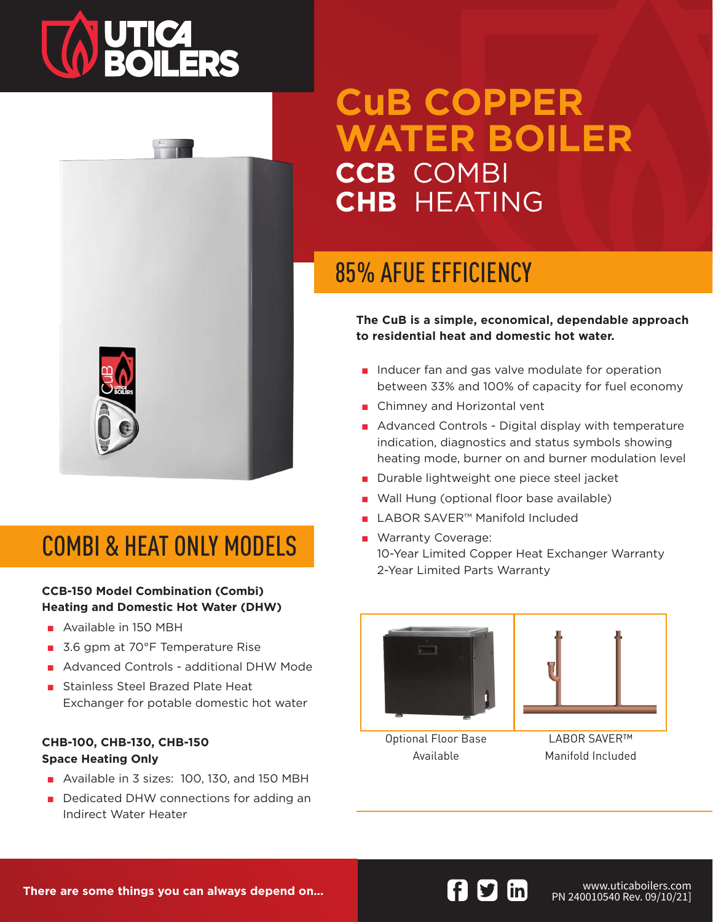# **TA UTICA<br>ROILERS**



### COMBI & HEAT ONLY MODELS

#### **CCB-150 Model Combination (Combi) Heating and Domestic Hot Water (DHW)**

- Available in 150 MBH
- 3.6 gpm at 70°F Temperature Rise
- Advanced Controls additional DHW Mode
- Stainless Steel Brazed Plate Heat Exchanger for potable domestic hot water

#### **CHB-100, CHB-130, CHB-150 Space Heating Only**

- Available in 3 sizes: 100, 130, and 150 MBH
- Dedicated DHW connections for adding an Indirect Water Heater

# **CuB COPPER WATER BOILER CCB** COMBI **CHB** HEATING

### 85% AFUE EFFICIENCY

**The CuB is a simple, economical, dependable approach to residential heat and domestic hot water.**

- Inducer fan and gas valve modulate for operation between 33% and 100% of capacity for fuel economy
- Chimney and Horizontal vent
- Advanced Controls Digital display with temperature indication, diagnostics and status symbols showing heating mode, burner on and burner modulation level
- Durable lightweight one piece steel jacket
- Wall Hung (optional floor base available)
- LABOR SAVER<sup>™</sup> Manifold Included
- Warranty Coverage: 10-Year Limited Copper Heat Exchanger Warranty 2-Year Limited Parts Warranty





Optional Floor Base Available

LABOR SAVER™ Manifold Included

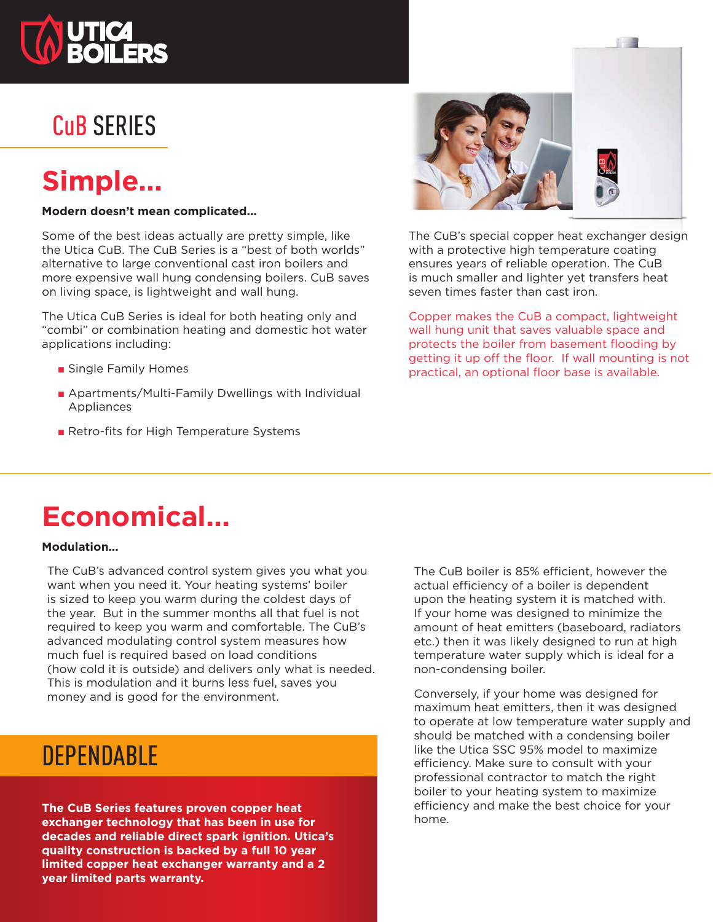

### CuB SERIES

### **Simple...**

#### **Modern doesn't mean complicated...**

Some of the best ideas actually are pretty simple, like the Utica CuB. The CuB Series is a "best of both worlds" alternative to large conventional cast iron boilers and more expensive wall hung condensing boilers. CuB saves on living space, is lightweight and wall hung.

The Utica CuB Series is ideal for both heating only and "combi" or combination heating and domestic hot water applications including:

- Single Family Homes
- Apartments/Multi-Family Dwellings with Individual Appliances
- Retro-fits for High Temperature Systems



The CuB's special copper heat exchanger design with a protective high temperature coating ensures years of reliable operation. The CuB is much smaller and lighter yet transfers heat seven times faster than cast iron.

a se

Copper makes the CuB a compact, lightweight wall hung unit that saves valuable space and protects the boiler from basement flooding by getting it up off the floor. If wall mounting is not practical, an optional floor base is available.

### **Economical...**

#### **Modulation...**

The CuB's advanced control system gives you what you want when you need it. Your heating systems' boiler is sized to keep you warm during the coldest days of the year. But in the summer months all that fuel is not required to keep you warm and comfortable. The CuB's advanced modulating control system measures how much fuel is required based on load conditions (how cold it is outside) and delivers only what is needed. This is modulation and it burns less fuel, saves you money and is good for the environment.

### **DEPENDABLE**

**The CuB Series features proven copper heat exchanger technology that has been in use for decades and reliable direct spark ignition. Utica's quality construction is backed by a full 10 year limited copper heat exchanger warranty and a 2 year limited parts warranty.**

The CuB boiler is 85% efficient, however the actual efficiency of a boiler is dependent upon the heating system it is matched with. If your home was designed to minimize the amount of heat emitters (baseboard, radiators etc.) then it was likely designed to run at high temperature water supply which is ideal for a non-condensing boiler.

Conversely, if your home was designed for maximum heat emitters, then it was designed to operate at low temperature water supply and should be matched with a condensing boiler like the Utica SSC 95% model to maximize efficiency. Make sure to consult with your professional contractor to match the right boiler to your heating system to maximize efficiency and make the best choice for your home.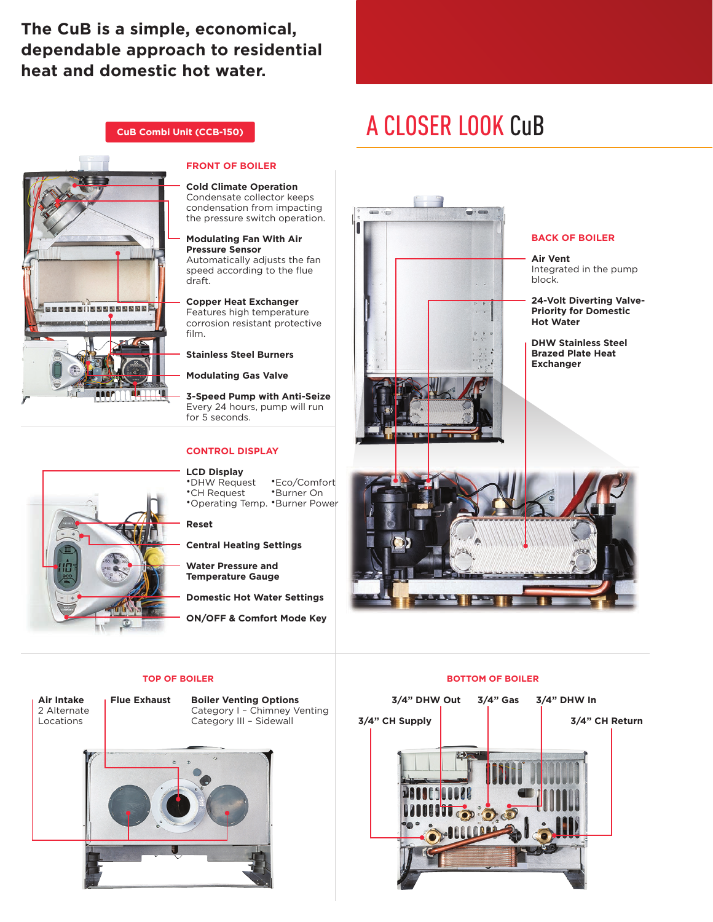### **The CuB is a simple, economical, dependable approach to residential heat and domestic hot water.**

**CuB Combi Unit (CCB-150)**

### A CLOSER LOOK CuB



#### **FRONT OF BOILER**

**Cold Climate Operation** Condensate collector keeps condensation from impacting the pressure switch operation.

**Modulating Fan With Air Pressure Sensor** Automatically adjusts the fan speed according to the flue draft.

**Copper Heat Exchanger** Features high temperature corrosion resistant protective film.

#### **Stainless Steel Burners**

**Modulating Gas Valve**

**3-Speed Pump with Anti-Seize** Every 24 hours, pump will run for 5 seconds.

#### **CONTROL DISPLAY**

#### **LCD Display**

•DHW Request •CH Request •Operating Temp. •Burner Power •Eco/Comfort •Burner On

**Reset**

**Central Heating Settings**

**Water Pressure and Temperature Gauge**

**Domestic Hot Water Settings**

**ON/OFF & Comfort Mode Key**

#### **BACK OF BOILER**

**Air Vent** Integrated in the pump block.

**24-Volt Diverting Valve-Priority for Domestic Hot Water**

**DHW Stainless Steel Brazed Plate Heat Exchanger**



**Air Intake** 2 Alternate Locations

**Flue Exhaust Boiler Venting Options** Category I – Chimney Venting Category III – Sidewall



#### **TOP OF BOILER BOTTOM OF BOILER**